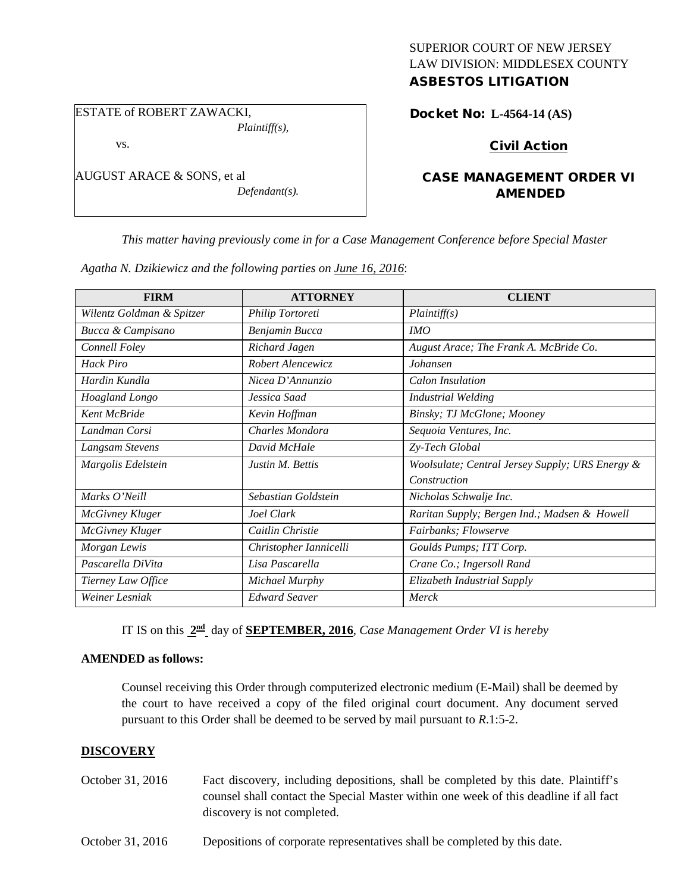# SUPERIOR COURT OF NEW JERSEY LAW DIVISION: MIDDLESEX COUNTY

## ASBESTOS LITIGATION

ESTATE of ROBERT ZAWACKI,

vs.

AUGUST ARACE & SONS, et al

*Defendant(s).*

*Plaintiff(s),*

Docket No: **L-4564-14 (AS)** 

Civil Action

## CASE MANAGEMENT ORDER VI AMENDED

*This matter having previously come in for a Case Management Conference before Special Master* 

*Agatha N. Dzikiewicz and the following parties on June 16, 2016*:

| <b>FIRM</b>               | <b>ATTORNEY</b>        | <b>CLIENT</b>                                   |
|---------------------------|------------------------|-------------------------------------------------|
| Wilentz Goldman & Spitzer | Philip Tortoreti       | Plaintiff(s)                                    |
| Bucca & Campisano         | Benjamin Bucca         | IMO                                             |
| Connell Foley             | Richard Jagen          | August Arace; The Frank A. McBride Co.          |
| <b>Hack Piro</b>          | Robert Alencewicz      | Johansen                                        |
| Hardin Kundla             | Nicea D'Annunzio       | Calon Insulation                                |
| Hoagland Longo            | Jessica Saad           | <b>Industrial Welding</b>                       |
| <b>Kent McBride</b>       | Kevin Hoffman          | Binsky; TJ McGlone; Mooney                      |
| Landman Corsi             | Charles Mondora        | Sequoia Ventures, Inc.                          |
| Langsam Stevens           | David McHale           | Zy-Tech Global                                  |
| Margolis Edelstein        | Justin M. Bettis       | Woolsulate; Central Jersey Supply; URS Energy & |
|                           |                        | Construction                                    |
| Marks O'Neill             | Sebastian Goldstein    | Nicholas Schwalje Inc.                          |
| McGivney Kluger           | Joel Clark             | Raritan Supply; Bergen Ind.; Madsen & Howell    |
| McGivney Kluger           | Caitlin Christie       | Fairbanks; Flowserve                            |
| Morgan Lewis              | Christopher Iannicelli | Goulds Pumps; ITT Corp.                         |
| Pascarella DiVita         | Lisa Pascarella        | Crane Co.; Ingersoll Rand                       |
| Tierney Law Office        | Michael Murphy         | Elizabeth Industrial Supply                     |
| Weiner Lesniak            | <b>Edward Seaver</b>   | Merck                                           |

IT IS on this **2nd** day of **SEPTEMBER, 2016**, *Case Management Order VI is hereby*

#### **AMENDED as follows:**

Counsel receiving this Order through computerized electronic medium (E-Mail) shall be deemed by the court to have received a copy of the filed original court document. Any document served pursuant to this Order shall be deemed to be served by mail pursuant to *R*.1:5-2.

### **DISCOVERY**

- October 31, 2016 Fact discovery, including depositions, shall be completed by this date. Plaintiff's counsel shall contact the Special Master within one week of this deadline if all fact discovery is not completed.
- October 31, 2016 Depositions of corporate representatives shall be completed by this date.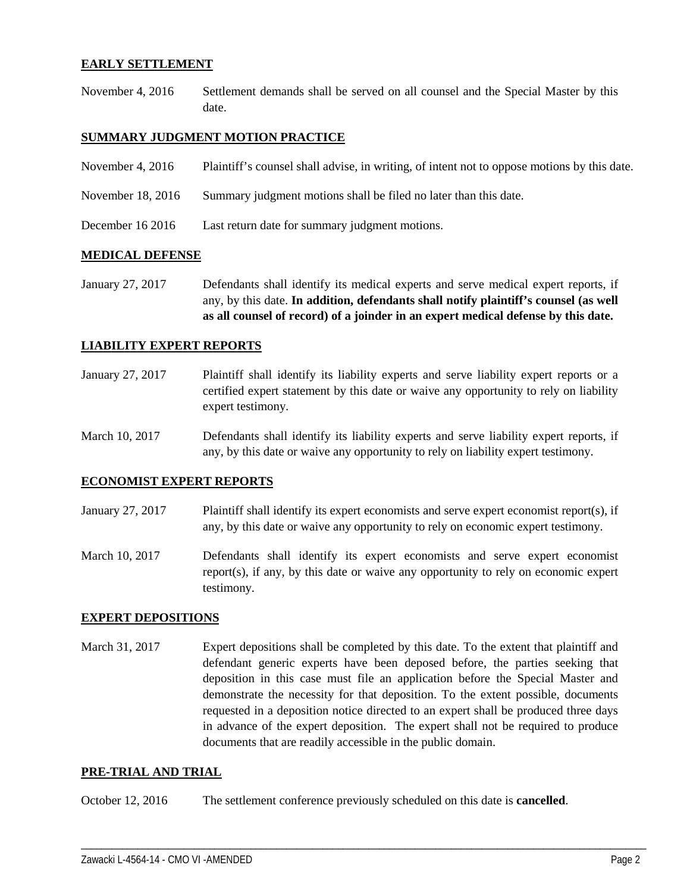#### **EARLY SETTLEMENT**

November 4, 2016 Settlement demands shall be served on all counsel and the Special Master by this date.

#### **SUMMARY JUDGMENT MOTION PRACTICE**

| November 4, $2016$ | Plaintiff's counsel shall advise, in writing, of intent not to oppose motions by this date. |
|--------------------|---------------------------------------------------------------------------------------------|
| November 18, 2016  | Summary judgment motions shall be filed no later than this date.                            |
| December 16 2016   | Last return date for summary judgment motions.                                              |

#### **MEDICAL DEFENSE**

January 27, 2017 Defendants shall identify its medical experts and serve medical expert reports, if any, by this date. **In addition, defendants shall notify plaintiff's counsel (as well as all counsel of record) of a joinder in an expert medical defense by this date.**

#### **LIABILITY EXPERT REPORTS**

- January 27, 2017 Plaintiff shall identify its liability experts and serve liability expert reports or a certified expert statement by this date or waive any opportunity to rely on liability expert testimony.
- March 10, 2017 Defendants shall identify its liability experts and serve liability expert reports, if any, by this date or waive any opportunity to rely on liability expert testimony.

#### **ECONOMIST EXPERT REPORTS**

- January 27, 2017 Plaintiff shall identify its expert economists and serve expert economist report(s), if any, by this date or waive any opportunity to rely on economic expert testimony.
- March 10, 2017 Defendants shall identify its expert economists and serve expert economist report(s), if any, by this date or waive any opportunity to rely on economic expert testimony.

#### **EXPERT DEPOSITIONS**

March 31, 2017 Expert depositions shall be completed by this date. To the extent that plaintiff and defendant generic experts have been deposed before, the parties seeking that deposition in this case must file an application before the Special Master and demonstrate the necessity for that deposition. To the extent possible, documents requested in a deposition notice directed to an expert shall be produced three days in advance of the expert deposition. The expert shall not be required to produce documents that are readily accessible in the public domain.

\_\_\_\_\_\_\_\_\_\_\_\_\_\_\_\_\_\_\_\_\_\_\_\_\_\_\_\_\_\_\_\_\_\_\_\_\_\_\_\_\_\_\_\_\_\_\_\_\_\_\_\_\_\_\_\_\_\_\_\_\_\_\_\_\_\_\_\_\_\_\_\_\_\_\_\_\_\_\_\_\_\_\_\_\_\_\_\_\_\_\_\_\_\_\_\_\_\_\_\_\_\_\_\_\_\_\_\_\_\_

#### **PRE-TRIAL AND TRIAL**

October 12, 2016 The settlement conference previously scheduled on this date is **cancelled**.